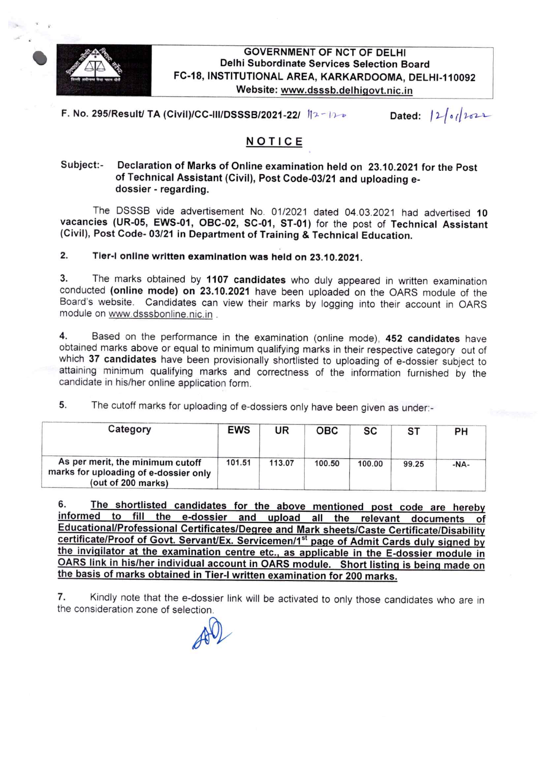

#### **GOVERNMENT OF NCT OF DELHI** Delhi Subordinate Services Selection Board FC-18, INSTITUTIONAL AREA, KARKARDOOMA, DELHI-110092 Website: www.dsssb.delhigovt.nic.in

F. No. 295/Result/ TA (Civil)/CC-III/DSSSB/2021-22/  $12 - 11$ 

## NOTICE

#### Subject:-Declaration of Marks of online examination held on 23.10.2021 for the post Of Technical Assistant (Civil), Post Code-03/21 and uploading edossier - regarding.

The DSSSB vide advertisement No. 01/2021 dated 04.03.2021 had advertised 10 vacancies (UR-05, EWS-01, OBC-02, SC-01, ST-01) for the post of Technical Assistant (Civil), Post Code-03/21 in Department of Training & Technical Education.

### 2. Tier-I online written examination was held on 23.10.2021.

3. The marks obtained by 1107 candidates who duly appeared in written examination conducted (online mode) on 23.10.2021 have been uploaded on the OARS module of the Board's website. Candidates can view their marks by logging into their account in OARS module on www.dsssbonline.nic.in .

4. Based on the performance in the examination (online mode), 452 candidates have obtained marks above or equal to minimum qualifying marks in their respective category out Of which 37 candidates have been provisionally shortlisted to uploading of e-dossier subject to attaining minimum qualifying marks and correctness of the information furnished by the candidate in his/her online application form.

5. The cutoff marks for uploading of e-dossiers only have been given as under.-

| Category                                                                                        | <b>EWS</b> | UR     | овс    | SC     | ST    | PH     |
|-------------------------------------------------------------------------------------------------|------------|--------|--------|--------|-------|--------|
| As per merit, the minimum cutoff<br>marks for uploading of e-dossier only<br>(out of 200 marks) | 101.51     | 113.07 | 100.50 | 100.00 | 99.25 | $-NA-$ |

6. The shortlisted candidates for the above mentioned post code are hereby informed to fill the e-dossier and upload all the relevant documents of Educational/Professional Certificates/Degree and Mark sheets/Caste Certificate/Disability certificate/Proof of Govt. Servant/Ex. Servicemen/1<sup>st</sup> page of Admit Cards duly signed by the invigilator at the examination centre etc., as applicable in the E-dossier module in OARS link in his/her individual account in OARS module. Short listing is being made on the basis of marks obtained in Tier-I written examination for 200 marks.

7. Kindly note that the e-dossier link will be activated to only those candidates who are in the consideration zone of selection.

 $404$